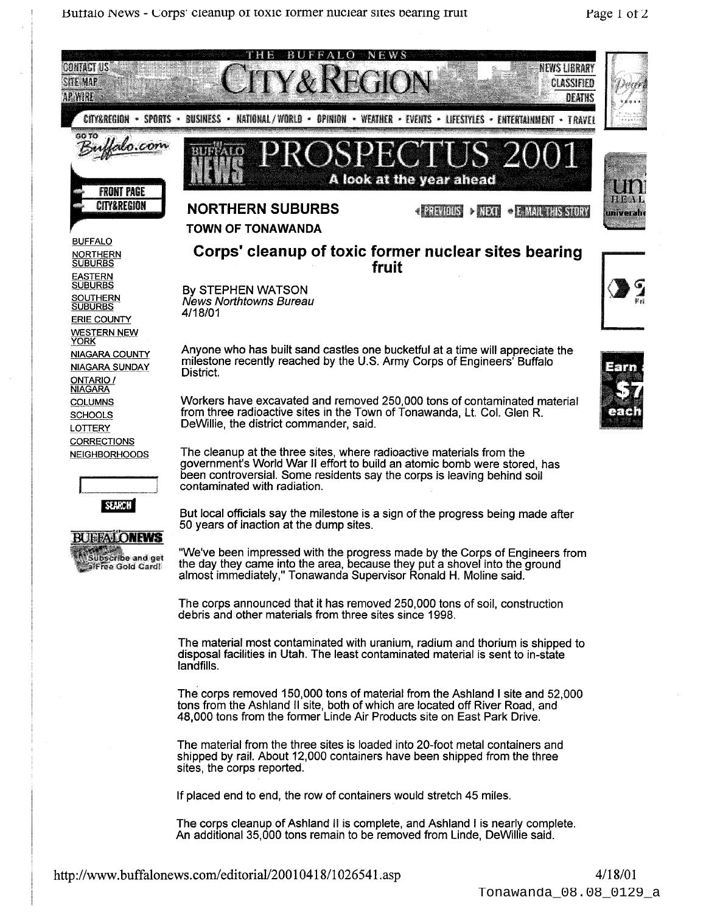